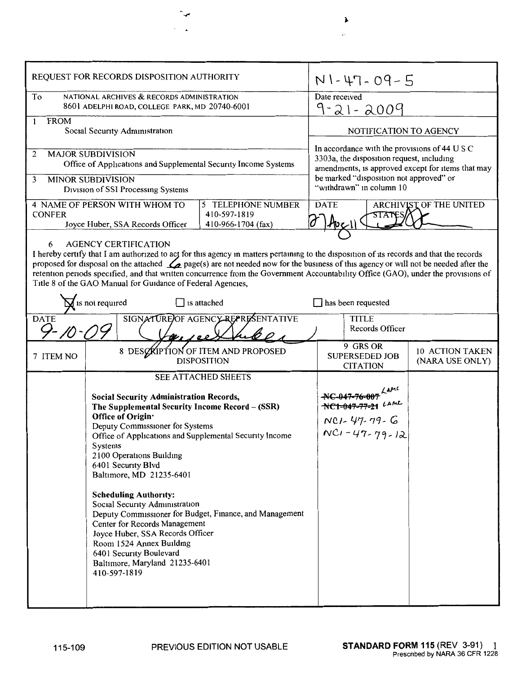| REQUEST FOR RECORDS DISPOSITION AUTHORITY                                                                                                                                                                                                                                                                                                                                                                                                                                                                                                                                                                          |                                                                                                                                                                                                                                                                                                                                                                                                                                                                                                                                                                                                                                                        |                                                          | $N1 - 47 - 09 - 5$                                                                                                                              |  |                                    |
|--------------------------------------------------------------------------------------------------------------------------------------------------------------------------------------------------------------------------------------------------------------------------------------------------------------------------------------------------------------------------------------------------------------------------------------------------------------------------------------------------------------------------------------------------------------------------------------------------------------------|--------------------------------------------------------------------------------------------------------------------------------------------------------------------------------------------------------------------------------------------------------------------------------------------------------------------------------------------------------------------------------------------------------------------------------------------------------------------------------------------------------------------------------------------------------------------------------------------------------------------------------------------------------|----------------------------------------------------------|-------------------------------------------------------------------------------------------------------------------------------------------------|--|------------------------------------|
| To                                                                                                                                                                                                                                                                                                                                                                                                                                                                                                                                                                                                                 | NATIONAL ARCHIVES & RECORDS ADMINISTRATION<br>8601 ADELPHI ROAD, COLLEGE PARK, MD 20740-6001                                                                                                                                                                                                                                                                                                                                                                                                                                                                                                                                                           | Date received<br>9-21-2009                               |                                                                                                                                                 |  |                                    |
| <b>FROM</b><br>Social Security Administration                                                                                                                                                                                                                                                                                                                                                                                                                                                                                                                                                                      |                                                                                                                                                                                                                                                                                                                                                                                                                                                                                                                                                                                                                                                        |                                                          | NOTIFICATION TO AGENCY                                                                                                                          |  |                                    |
| <b>MAJOR SUBDIVISION</b><br>2<br>Office of Applications and Supplemental Security Income Systems                                                                                                                                                                                                                                                                                                                                                                                                                                                                                                                   |                                                                                                                                                                                                                                                                                                                                                                                                                                                                                                                                                                                                                                                        |                                                          | In accordance with the provisions of 44 U S C<br>3303a, the disposition request, including<br>amendments, is approved except for items that may |  |                                    |
| <b>MINOR SUBDIVISION</b><br>3<br>Division of SSI Processing Systems                                                                                                                                                                                                                                                                                                                                                                                                                                                                                                                                                |                                                                                                                                                                                                                                                                                                                                                                                                                                                                                                                                                                                                                                                        |                                                          | be marked "disposition not approved" or<br>"withdrawn" in column 10                                                                             |  |                                    |
| 4 NAME OF PERSON WITH WHOM TO<br>5 TELEPHONE NUMBER<br>410-597-1819<br><b>CONFER</b><br>Joyce Huber, SSA Records Officer<br>410-966-1704 (fax)                                                                                                                                                                                                                                                                                                                                                                                                                                                                     |                                                                                                                                                                                                                                                                                                                                                                                                                                                                                                                                                                                                                                                        |                                                          | <b>DATE</b><br>ARCHIVIST OF THE UNITED                                                                                                          |  |                                    |
| <b>AGENCY CERTIFICATION</b><br>6<br>I hereby certify that I am authorized to act for this agency in matters pertaining to the disposition of its records and that the records<br>proposed for disposal on the attached $\mathcal{L}$ page(s) are not needed now for the business of this agency or will not be needed after the<br>retention periods specified, and that written concurrence from the Government Accountability Office (GAO), under the provisions of<br>Title 8 of the GAO Manual for Guidance of Federal Agencies,<br>$\overline{d}$ is not required<br>$\Box$ is attached<br>has been requested |                                                                                                                                                                                                                                                                                                                                                                                                                                                                                                                                                                                                                                                        |                                                          |                                                                                                                                                 |  |                                    |
| SIGNATURE OF AGENCY REPRESENTATIVE<br><b>DATE</b><br>$9 - 10 - 1$<br>$\nu_{I}$ see                                                                                                                                                                                                                                                                                                                                                                                                                                                                                                                                 |                                                                                                                                                                                                                                                                                                                                                                                                                                                                                                                                                                                                                                                        |                                                          | <b>TITLE</b><br>Records Officer                                                                                                                 |  |                                    |
| 7 ITEM NO                                                                                                                                                                                                                                                                                                                                                                                                                                                                                                                                                                                                          |                                                                                                                                                                                                                                                                                                                                                                                                                                                                                                                                                                                                                                                        | 8 DESCRIPTION OF ITEM AND PROPOSED<br><b>DISPOSITION</b> | 9 GRS OR<br><b>SUPERSEDED JOB</b><br><b>CITATION</b>                                                                                            |  | 10 ACTION TAKEN<br>(NARA USE ONLY) |
|                                                                                                                                                                                                                                                                                                                                                                                                                                                                                                                                                                                                                    | <b>SEE ATTACHED SHEETS</b><br><b>Social Security Administration Records,</b><br>The Supplemental Security Income Record - (SSR)<br>Office of Origin·<br>Deputy Commissioner for Systems<br>Office of Applications and Supplemental Security Income<br>Systems<br>2100 Operations Building<br>6401 Security Blvd<br>Baltimore, MD 21235-6401<br><b>Scheduling Authority:</b><br>Social Security Administration<br>Deputy Commissioner for Budget, Finance, and Management<br>Center for Records Management<br>Joyce Huber, SSA Records Officer<br>Room 1524 Annex Building<br>6401 Security Boulevard<br>Baltimore, Maryland 21235-6401<br>410-597-1819 |                                                          | $NCl - 47 - 79 - G$<br>$NC1 - 47 - 79 - 12$                                                                                                     |  |                                    |

 $\pmb{\lambda}$ 

 $\mathbb{I}$ 

 $\ddot{ }$ 

 $\mathcal{L}^{\text{max}}$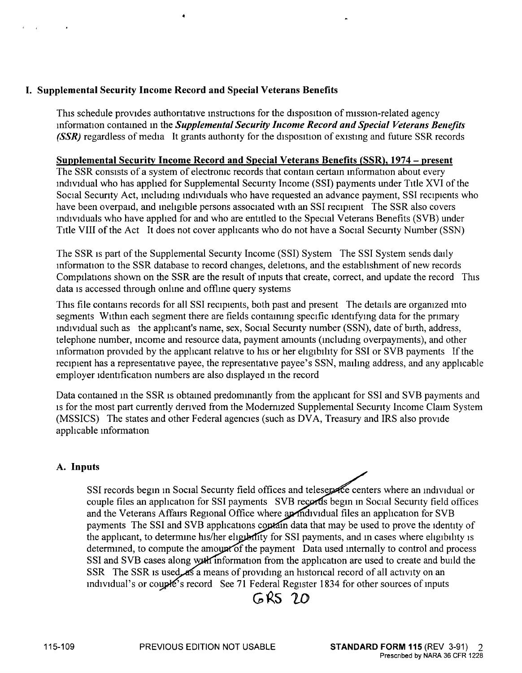This schedule provides authoritative instructions for the disposition of mission-related agency mformation contained in the *Supplemental Security Income Record and Special Veterans Benefits (SSR)* regardless of media It grants authority for the disposition of existing and future SSR records

#### **Supplemental Security Income Record and Special Veterans Benefits (SSR), 1974** - **present**

The SSR consists of a system of electronic records that contain certain information about every md1v1dual who has applied for Supplemental Security Income (SSI) payments under Title XVI of the Social Security Act, including individuals who have requested an advance payment, SSI recipients who have been overpaid, and ineligible persons associated with an SSI recipient The SSR also covers md1v1duals who have applied for and who are entitled to the Special Veterans Benefits (SVB) under Title VIII of the Act It does not cover applicants who do not have a Social Security Number (SSN)

The SSR 1s part of the Supplemental Secunty Income (SSI) System The SSI System sends daily information to the SSR database to record changes, deletions, and the establishment of new records Compilations shown on the SSR are the result of mputs that create, correct, and update the record This data 1s accessed through onlme and offlme query systems

This file contains records for all SSI recipients, both past and present The details are organized into segments Within each segment there are fields containing specific identifying data for the primary md1v1dual such as the applicant's name, sex, Social Security number (SSN), date of birth, address, telephone number, mcome and resource data, payment amounts (mcludmg overpayments), and other information provided by the applicant relative to his or her eligibility for SSI or SVB payments If the recipient has a representative payee, the representative payee's SSN, mailing address, and any applicable employer identification numbers are also displayed in the record

Data contained in the SSR is obtained predominantly from the applicant for SSI and SVB payments and 1s for the most part currently derived from the Modernized Supplemental Security Income Claim System (MSSICS) The states and other Federal agencies (such as DVA, Treasury and IRS also provide applicable mformation

#### **A. Inputs**

SSI records begin in Social Security field offices and teleservice centers where an individual or couple files an application for SSI payments SVB records begin in Social Security field offices and the Veterans Affairs Regional Office where a multipled files an application for SVB payments The SSI and SVB applications contain data that may be used to prove the identity of the applicant, to determine his/her eligibility for SSI payments, and in cases where eligibility is determined, to compute the amount of the payment Data used internally to control and process SSI and SVB cases along with information from the application are used to create and build the SSR The SSR 1s used as a means of providing an historical record of all activity on an individual's or couple's record See 71 Federal Register 1834 for other sources of inputs

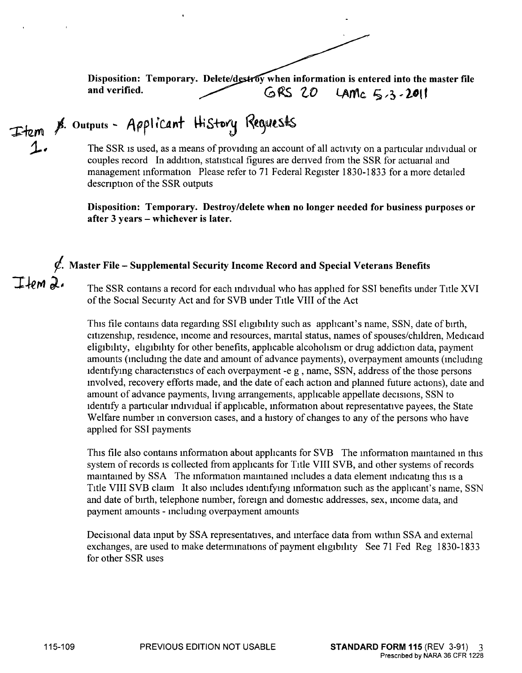Disposition: Temporary. Delete/destroy when information is entered into the master file<br>and verified.<br>
GRS 20 LAM<sub>C</sub>  $\leq$  2.2011 and verified. **GRS 20** LAMC  $5, 3, 20$ 

 $I$ fem $a$ .

Item  $\not$ <sup>8.</sup> Outputs - Applicant History Requests

The SSR is used, as a means of providing an account of all activity on a particular individual or couples record In addition, statistical figures are derived from the SSR for actuarial and management mformation Please refer to 71 Federal Register 1830-1833 for a more detailed description of the SSR outputs

**Disposition: Temporary. Destroy/delete when no longer needed for business purposes or after 3 years** - **whichever is later.** 

# **Master File** - **Supplemental Security Income Record and Special Veterans Benefits**

The SSR contams a record for each mdividual who has applied for SSI benefits under Title XVI of the Social Security Act and for SVB under Title VIII of the Act

This file contains data regarding SSI eligibility such as applicant's name, SSN, date of birth, citizenship, residence, income and resources, marital status, names of spouses/children, Medicaid eligibility, eligibility for other benefits, applicable alcoholism or drug addiction data, payment amounts (mcludmg the date and amount of advance payments), overpayment amounts (mcludmg identifying characteristics of each overpayment -e g, name, SSN, address of the those persons involved, recovery efforts made, and the date of each action and planned future actions), date and amount of advance payments, hving arrangements, applicable appellate decisions, SSN to identify a particular mdividual if applicable, mformation about representative payees, the State Welfare number in conversion cases, and a history of changes to any of the persons who have applied for SSI payments

This file also contains information about applicants for SVB The information maintained in this system of records is collected from applicants for Title VIII SVB, and other systems of records maintained by SSA The information maintained includes a data element indicating this is a Title VIII SVB claim It also mcludes 1dentifymg mformation such as the applicant's name, SSN and date of birth, telephone number, foreign and domestic addresses, sex, mcome data, and payment amounts - including overpayment amounts

Decisional data mput by SSA representatives, and mterface data from withm SSA and external exchanges, are used to make determmations of payment eligibility See 71 Fed Reg 1830-1833 for other SSR uses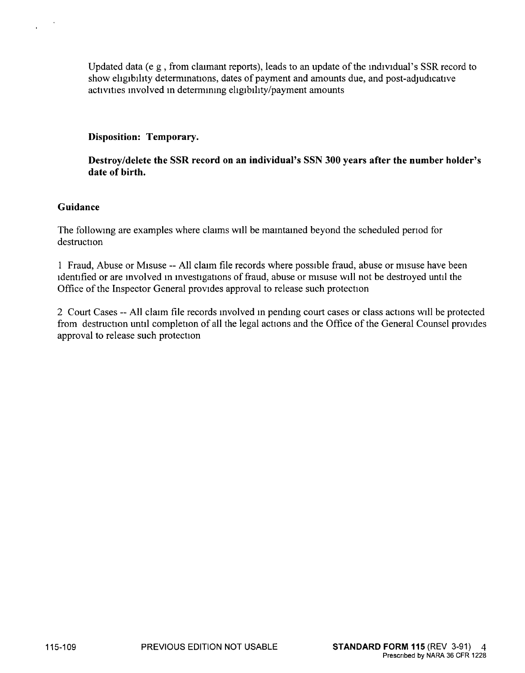Updated data (e g, from claimant reports), leads to an update of the mdividual's SSR record to show ehgibihty determmations, dates of payment and amounts due, and post-adjudicative activities mvolved m determmmg ehgibihty/payment amounts

### **Disposition: Temporary.**

**Destroy/delete the SSR record on an individual's SSN 300 years after the number holder's date of birth.** 

### **Guidance**

The followmg are examples where claims will be mamtamed beyond the scheduled penod for destruction

1 Fraud, Abuse or Misuse -- All claim file records where possible fraud, abuse or misuse have been identified or are involved in investigations of fraud, abuse or misuse will not be destroyed until the Office of the Inspector General provides approval to release such protection

2 Court Cases -- All claim file records involved in pending court cases or class actions will be protected from destruction until completion of all the legal actions and the Office of the General Counsel provides approval to release such protection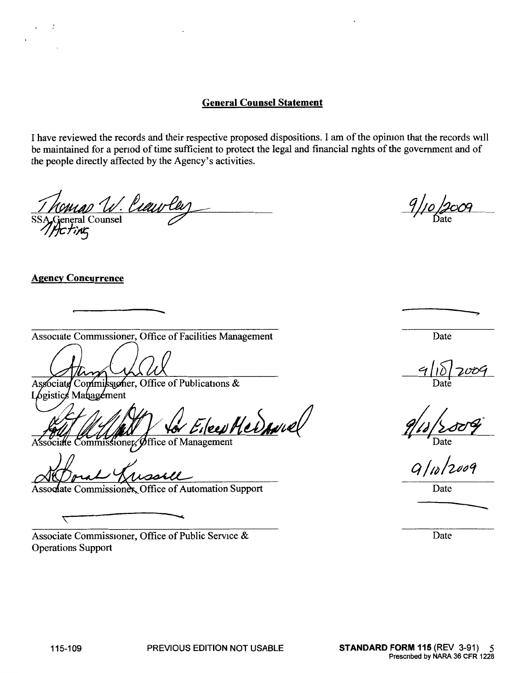# **General Counsel Statement**

I have reviewed the records and their respective proposed dispositions. I am of the opiruon that the records will be maintained for a period of time sufficient to protect the legal and financial rights of the government and of the people directly affected by the Agency's activities.

omad W. *Cieuv Cel*<br>eneral Counsel

## **Agency Concurrence**

ᠵ

Associate Commissioner, Office of Facilities Management

Associate Commissioner, Office of Publications & Logistics Management

een Hermuel

Commissioner, Office of Management

wastll

Associate Commissioner, Office of Automation Support

Associate Commissioner, Office of Public Service  $\&$ Operations Support

Date

Date

 $9/12/2009$ 

Date

Date

---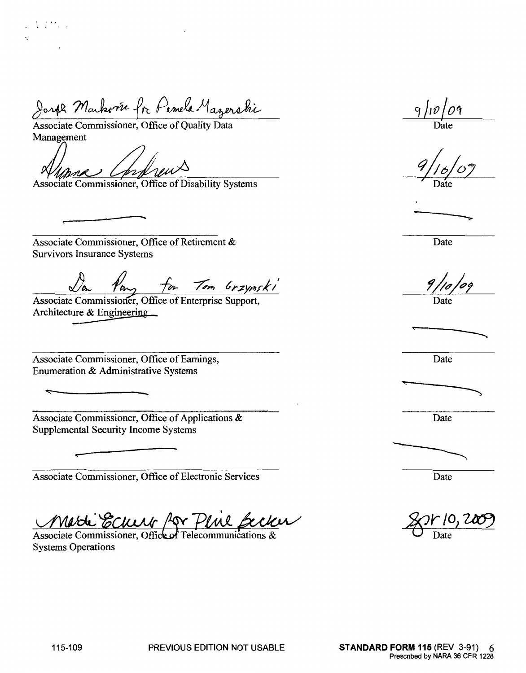Joseph Markovie fr Pamela Mazerski

Joseph Markone fr Pamela Marger<br>Associate Commissioner, Office of Quality Data<br>Management

Associate Commissioner, Office of Disability Systems

Associate Commissioner, Office of Retirement & Survivors Insurance Systems

<u>Da Van for</u> Tom Grzynski

Architecture & Engineering

Associate Commissioner, Office of Earnings, Enumeration & Administrative Systems

 $~\ddot{}$ 

Associate Commissioner, Office of Applications & Supplemental Security Income Systems

Associate Commissioner, Office of Electronic Services

<u>Marti Ecum for Plui Beck</u><br>Associate Commissioner, Office of Telecommunications & une pecker

Systems Operations

 $9/10/09$ 

Date

Date

 $\frac{9/10/09}{\text{Date}}$ 

Date

Date

Date



Date